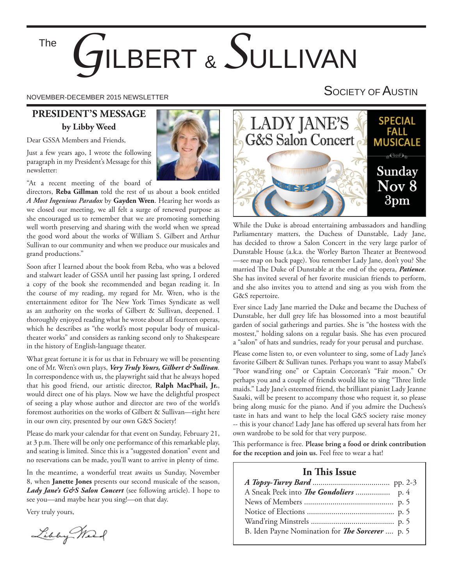The

# *G*ILBERT & *S*ULLIVAN

#### **PRESIDENT'S MESSAGE by Libby Weed**

Dear GSSA Members and Friends,

Just a few years ago, I wrote the following paragraph in my President's Message for this newsletter:

"At a recent meeting of the board of

directors, **Reba Gillman** told the rest of us about a book entitled *A Most Ingenious Paradox* by **Gayden Wren**. Hearing her words as we closed our meeting, we all felt a surge of renewed purpose as she encouraged us to remember that we are promoting something well worth preserving and sharing with the world when we spread the good word about the works of William S. Gilbert and Arthur Sullivan to our community and when we produce our musicales and grand productions."

Soon after I learned about the book from Reba, who was a beloved and stalwart leader of GSSA until her passing last spring, I ordered a copy of the book she recommended and began reading it. In the course of my reading, my regard for Mr. Wren, who is the entertainment editor for The New York Times Syndicate as well as an authority on the works of Gilbert & Sullivan, deepened. I thoroughly enjoyed reading what he wrote about all fourteen operas, which he describes as "the world's most popular body of musicaltheater works" and considers as ranking second only to Shakespeare in the history of English-language theater.

What great fortune it is for us that in February we will be presenting one of Mr. Wren's own plays, *Very Truly Yours, Gilbert & Sullivan.* In correspondence with us, the playwright said that he always hoped that his good friend, our artistic director, **Ralph MacPhail, Jr.**, would direct one of his plays. Now we have the delightful prospect of seeing a play whose author and director are two of the world's foremost authorities on the works of Gilbert & Sullivan—right here in our own city, presented by our own G&S Society!

Please do mark your calendar for that event on Sunday, February 21, at 3 p.m. There will be only one performance of this remarkable play, and seating is limited. Since this is a "suggested donation" event and no reservations can be made, you'll want to arrive in plenty of time.

In the meantime, a wonderful treat awaits us Sunday, November 8, when **Janette Jones** presents our second musicale of the season, Lady *Jane's G&S Salon Concert* (see following article). I hope to see you—and maybe hear you sing!—on that day.

Very truly yours,

Libby Mart







While the Duke is abroad entertaining ambassadors and handling Parliamentary matters, the Duchess of Dunstable, Lady Jane, has decided to throw a Salon Concert in the very large parlor of Dunstable House (a.k.a. the Worley Barton Theater at Brentwood —see map on back page). You remember Lady Jane, don't you? She married The Duke of Dunstable at the end of the opera, *Patience*. She has invited several of her favorite musician friends to perform, and she also invites you to attend and sing as you wish from the G&S repertoire.

Ever since Lady Jane married the Duke and became the Duchess of Dunstable, her dull grey life has blossomed into a most beautiful garden of social gatherings and parties. She is "the hostess with the mostest," holding salons on a regular basis. She has even procured a "salon" of hats and sundries, ready for your perusal and purchase.

Please come listen to, or even volunteer to sing, some of Lady Jane's favorite Gilbert & Sullivan tunes. Perhaps you want to assay Mabel's "Poor wand'ring one" or Captain Corcoran's "Fair moon." Or perhaps you and a couple of friends would like to sing "Three little maids." Lady Jane's esteemed friend, the brilliant pianist Lady Jeanne Sasaki, will be present to accompany those who request it, so please bring along music for the piano. And if you admire the Duchess's taste in hats and want to help the local G&S society raise money -- this is your chance! Lady Jane has offered up several hats from her own wardrobe to be sold for that very purpose.

This performance is free. Please bring a food or drink contribution **for the reception and join us.** Feel free to wear a hat!

#### **In This Issue**

| B. Iden Payne Nomination for <i>The Sorcerer</i> p. 5 |  |
|-------------------------------------------------------|--|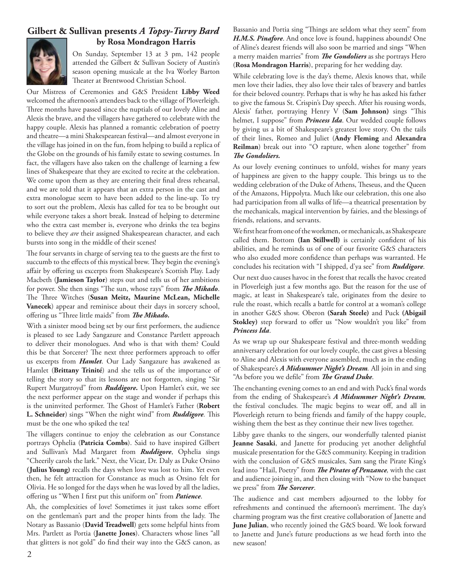#### **Gilbert & Sullivan presents** *A Topsy-Turvy Bard* **by Rosa Mondragon Harris**



On Sunday, September 13 at 3 pm, 142 people attended the Gilbert & Sullivan Society of Austin's season opening musicale at the Iva Worley Barton Theater at Brentwood Christian School.

Our Mistress of Ceremonies and G&S President **Libby Weed** welcomed the afternoon's attendees back to the village of Ploverleigh. Three months have passed since the nuptials of our lovely Aline and Alexis the brave, and the villagers have gathered to celebrate with the happy couple. Alexis has planned a romantic celebration of poetry and theatre—a mini Shakespearean festival—and almost everyone in the village has joined in on the fun, from helping to build a replica of the Globe on the grounds of his family estate to sewing costumes. In fact, the villagers have also taken on the challenge of learning a few lines of Shakespeare that they are excited to recite at the celebration. We come upon them as they are entering their final dress rehearsal, and we are told that it appears that an extra person in the cast and extra monologue seem to have been added to the line-up. To try to sort out the problem, Alexis has called for tea to be brought out while everyone takes a short break. Instead of helping to determine who the extra cast member is, everyone who drinks the tea begins to believe they *are* their assigned Shakespearean character, and each bursts into song in the middle of their scenes!

The four servants in charge of serving tea to the guests are the first to succumb to the effects of this mystical brew. They begin the evening's affair by offering us excerpts from Shakespeare's Scottish Play. Lady Macbeth (**Jamieson Taylor**) steps out and tells us of her ambitions for power. She then sings "The sun, whose rays" from *The Mikado*. The Three Witches (Susan Meitz, Maurine McLean, Michelle **Vanecek**) appear and reminisce about their days in sorcery school, offering us "Three little maids" from *The Mikado.* 

With a sinister mood being set by our first performers, the audience is pleased to see Lady Sangazure and Constance Partlett approach to deliver their monologues. And who is that with them? Could this be that Sorcerer? The next three performers approach to offer us excerpts from *Hamlet*. Our Lady Sangazure has awakened as Hamlet (**Brittany Trinité**) and she tells us of the importance of telling the story so that its lessons are not forgotten, singing "Sir Rupert Murgatroyd" from *Ruddigore***.** Upon Hamlet's exit, we see the next performer appear on the stage and wonder if perhaps this is the uninvited performer. The Ghost of Hamlet's Father (Robert L. Schneider) sings "When the night wind" from *Ruddigore*. This must be the one who spiked the tea!

The villagers continue to enjoy the celebration as our Constance portrays Ophelia (**Patricia Combs**). Said to have inspired Gilbert and Sullivan's Mad Margaret from *Ruddigore*, Ophelia sings "Cheerily carols the lark." Next, the Vicar, Dr. Daly as Duke Orsino **(Julius Young)** recalls the days when love was lost to him. Yet even then, he felt attraction for Constance as much as Orsino felt for Olivia. He so longed for the days when he was loved by all the ladies, offering us "When I first put this uniform on" from *Patience*.

Ah, the complexities of love! Sometimes it just takes some effort on the gentleman's part and the proper hints from the lady. The Notary as Bassanio (**David Treadwell**) gets some helpful hints from Mrs. Partlett as Portia (**Janette Jones**). Characters whose lines "all that glitters is not gold" do find their way into the G&S canon, as

Bassanio and Portia sing "Things are seldom what they seem" from *H.M.S. Pinafore*. And once love is found, happiness abounds! One of Aline's dearest friends will also soon be married and sings "When a merry maiden marries" from *The Gondoliers* as she portrays Hero (**Rosa Mondragon Harris**), preparing for her wedding day.

While celebrating love is the day's theme, Alexis knows that, while men love their ladies, they also love their tales of bravery and battles for their beloved country. Perhaps that is why he has asked his father to give the famous St. Crispin's Day speech. After his rousing words, Alexis' father, portraying Henry V (Sam Johnson) sings "This helmet, I suppose" from *Princess Ida*. Our wedded couple follows by giving us a bit of Shakespeare's greatest love story. On the tails of their lines, Romeo and Juliet (**Andy Fleming** and **Alexandra Reilman**) break out into "O rapture, when alone together" from **The Gondoliers.** 

As our lovely evening continues to unfold, wishes for many years of happiness are given to the happy couple. This brings us to the wedding celebration of the Duke of Athens, Theseus, and the Queen of the Amazons, Hippolyta. Much like our celebration, this one also had participation from all walks of life—a theatrical presentation by the mechanicals, magical intervention by fairies, and the blessings of friends, relations, and servants.

We first hear from one of the workmen, or mechanicals, as Shakespeare called them. Bottom (Ian Stillwell) is certainly confident of his abilities, and he reminds us of one of our favorite G&S characters who also exuded more confidence than perhaps was warranted. He concludes his recitation with "I shipped, d'ya see" from *Ruddigore*.

Our next duo causes havoc in the forest that recalls the havoc created in Ploverleigh just a few months ago. But the reason for the use of magic, at least in Shakespeare's tale, originates from the desire to rule the roast, which recalls a battle for control at a woman's college in another G&S show. Oberon **(Sarah Steele)** and Puck **(Abigail**  Stokley) step forward to offer us "Now wouldn't you like" from *Princess Ida*.

As we wrap up our Shakespeare festival and three-month wedding anniversary celebration for our lovely couple, the cast gives a blessing to Aline and Alexis with everyone assembled, much as in the ending of Shakespeare's *A Midsummer Night's Dream.* All join in and sing "As before you we defile" from *The Grand Duke*.

The enchanting evening comes to an end and with Puck's final words from the ending of Shakespeare's *A Midsummer Night's Dream,*  the festival concludes. The magic begins to wear off, and all in Ploverleigh return to being friends and family of the happy couple, wishing them the best as they continue their new lives together.

Libby gave thanks to the singers, our wonderfully talented pianist **Jeanne Sasaki**, and Janette for producing yet another delightful musicale presentation for the G&S community. Keeping in tradition with the conclusion of G&S musicales, Sam sang the Pirate King's lead into "Hail, Poetry" from *The Pirates of Penzance*, with the cast and audience joining in, and then closing with "Now to the banquet we press" from *The Sorcerer*.

The audience and cast members adjourned to the lobby for refreshments and continued the afternoon's merriment. The day's charming program was the first creative collaboration of Janette and **June Julian**, who recently joined the G&S board. We look forward to Janette and June's future productions as we head forth into the new season!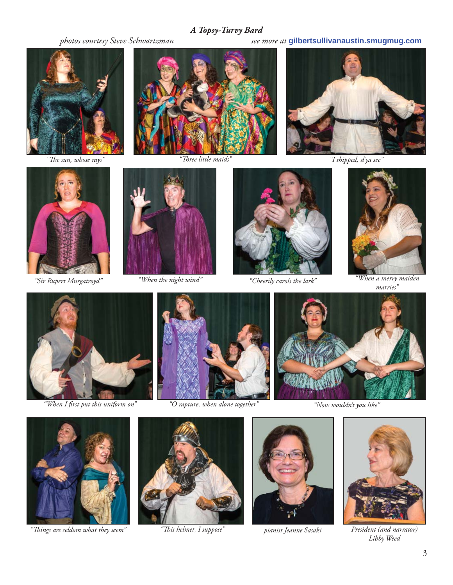#### *A Topsy-Turvy Bard*



 $\sqrt{\sqrt{m}}$  *The sun*, whose rays"



*"Th ree little maids"*

 *photos courtesy Steve Schwartzman see more at* **gilbertsullivanaustin.smugmug.com**



*"I shipped, d'ya see"*





*"When the night wind"*



*"Sir Rupert Murgatroyd" "Cheerily carols the lark"*



*"When a merry maiden marries"*



*"When I fi rst put this uniform on"*



*"O rapture, when alone together" "Now wouldn't you like"*





*"Th ings are seldom what they seem" pianist Jeanne Sasaki President (and narrator)*



*"Th is helmet, I suppose"*





*Libby Weed*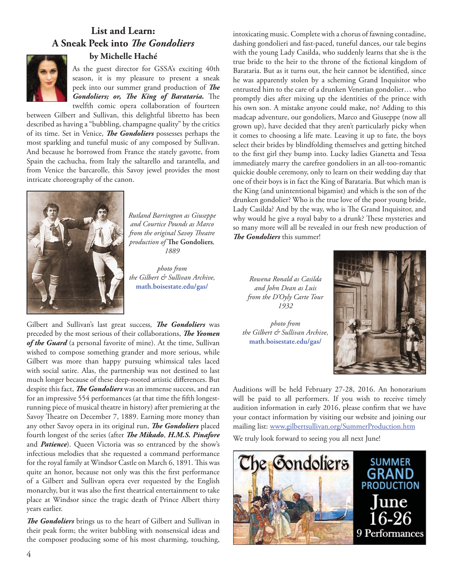### **List and Learn: A Sneak Peek into** *The Gondoliers*



#### **by Michelle Haché**

As the guest director for GSSA's exciting 40th season, it is my pleasure to present a sneak peek into our summer grand production of *The Gondoliers; or, The King of Barataria.* The twelfth comic opera collaboration of fourteen

between Gilbert and Sullivan, this delightful libretto has been described as having a "bubbling, champagne quality" by the critics of its time. Set in Venice, *The Gondoliers* possesses perhaps the most sparkling and tuneful music of any composed by Sullivan. And because he borrowed from France the stately gavotte, from Spain the cachucha, from Italy the saltarello and tarantella, and from Venice the barcarolle, this Savoy jewel provides the most intricate choreography of the canon.



*Rutland Barrington as Giuseppe and Courtice Pounds as Marco from the original Savoy Theatre*  $p$ *roduction of* The Gondoliers, *1889* 

*photo from the Gilbert & Sullivan Archive,*  **math.boisestate.edu/gas/**

Gilbert and Sullivan's last great success, The Gondoliers was preceded by the most serious of their collaborations, *The Yeomen* of the Guard (a personal favorite of mine). At the time, Sullivan wished to compose something grander and more serious, while Gilbert was more than happy pursuing whimsical tales laced with social satire. Alas, the partnership was not destined to last much longer because of these deep-rooted artistic differences. But despite this fact, *The Gondoliers* was an immense success, and ran for an impressive 554 performances (at that time the fifth longestrunning piece of musical theatre in history) after premiering at the Savoy Theatre on December 7, 1889. Earning more money than any other Savoy opera in its original run, *The Gondoliers* placed fourth longest of the series (after *The Mikado*, *H.M.S. Pinafore* and *Patience*). Queen Victoria was so entranced by the show's infectious melodies that she requested a command performance for the royal family at Windsor Castle on March 6, 1891. This was quite an honor, because not only was this the first performance of a Gilbert and Sullivan opera ever requested by the English monarchy, but it was also the first theatrical entertainment to take place at Windsor since the tragic death of Prince Albert thirty years earlier.

**The Gondoliers** brings us to the heart of Gilbert and Sullivan in their peak form; the writer bubbling with nonsensical ideas and the composer producing some of his most charming, touching, intoxicating music. Complete with a chorus of fawning contadine, dashing gondolieri and fast-paced, tuneful dances, our tale begins with the young Lady Casilda, who suddenly learns that she is the true bride to the heir to the throne of the fictional kingdom of Barataria. But as it turns out, the heir cannot be identified, since he was apparently stolen by a scheming Grand Inquisitor who entrusted him to the care of a drunken Venetian gondolier… who promptly dies after mixing up the identities of the prince with his own son. A mistake anyone could make, no? Adding to this madcap adventure, our gondoliers, Marco and Giuseppe (now all grown up), have decided that they aren't particularly picky when it comes to choosing a life mate. Leaving it up to fate, the boys select their brides by blindfolding themselves and getting hitched to the first girl they bump into. Lucky ladies Gianetta and Tessa immediately marry the carefree gondoliers in an all-too-romantic quickie double ceremony, only to learn on their wedding day that one of their boys is in fact the King of Barataria. But which man is the King (and unintentional bigamist) and which is the son of the drunken gondolier? Who is the true love of the poor young bride, Lady Casilda? And by the way, who is The Grand Inquisitor, and why would he give a royal baby to a drunk? These mysteries and so many more will all be revealed in our fresh new production of *The Gondoliers* this summer!

*Rowena Ronald as Casilda and John Dean as Luis from the D'Oyly Carte Tour 1932* 

*photo from the Gilbert & Sullivan Archive,*  **math.boisestate.edu/gas/**



Auditions will be held February 27-28, 2016. An honorarium will be paid to all performers. If you wish to receive timely audition information in early 2016, please confirm that we have your contact information by visiting our website and joining our mailing list: www.gilbertsullivan.org/SummerProduction.htm

We truly look forward to seeing you all next June!

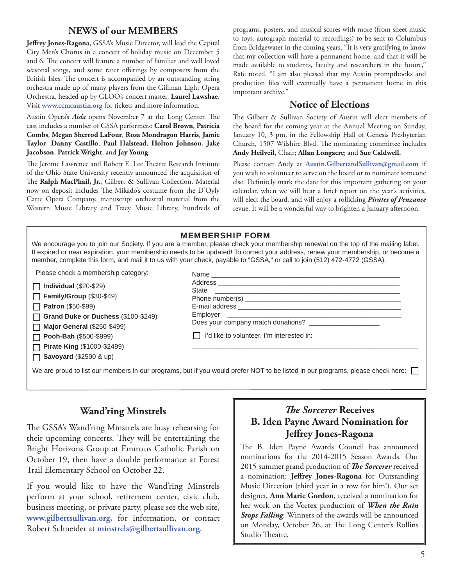#### **NEWS of our MEMBERS**

Jeffrey Jones-Ragona, GSSA's Music Director, will lead the Capital City Men's Chorus in a concert of holiday music on December 5 and 6. The concert will feature a number of familiar and well loved seasonal songs, and some rarer offerings by composers from the British Isles. The concert is accompanied by an outstanding string orchestra made up of many players from the Gillman Light Opera Orchestra, headed up by GLOO's concert master, **Laurel Lawshae**. Visit **www.ccmcaustin.org** for tickets and more information.

Austin Opera's *Aida* opens November 7 at the Long Center. The cast includes a number of GSSA performers: **Carol Brown**, **Patricia Combs**, **Megan Sherrod LaFour**, **Rosa Mondragon Harris**, **Jamie Taylor**, **Danny Castillo**, **Paul Halstead**, **Holton Johnson**, **Jake Jacobson**, **Patrick Wright**, and **Jay Young**.

The Jerome Lawrence and Robert E. Lee Theatre Research Institute of the Ohio State University recently announced the acquisition of The Ralph MacPhail, Jr., Gilbert & Sullivan Collection. Material now on deposit includes The Mikado's costume from the D'Oyly Carte Opera Company, manuscript orchestral material from the Western Music Library and Tracy Music Library, hundreds of programs, posters, and musical scores with more (from sheet music to toys, autograph material to recordings) to be sent to Columbus from Bridgewater in the coming years. "It is very gratifying to know that my collection will have a permanent home, and that it will be made available to students, faculty and researchers in the future," Rafe noted. "I am also pleased that my Austin promptbooks and production files will eventually have a permanent home in this important archive."

#### **Notice of Elections**

The Gilbert & Sullivan Society of Austin will elect members of the board for the coming year at the Annual Meeting on Sunday, January 10, 3 pm, in the Fellowship Hall of Genesis Presbyterian Church, 1507 Wilshire Blvd. The nominating committee includes **Andy Heilveil,** Chair; **Allan Longacre**; and **Sue Caldwell.**

Please contact Andy at **Austin.GilbertandSullivan@gmail.com** if you wish to volunteer to serve on the board or to nominate someone else. Definitely mark the date for this important gathering on your calendar, when we will hear a brief report on the year's activities, will elect the board, and will enjoy a rollicking *Pirates of Penzance* revue. It will be a wonderful way to brighten a January afternoon.

#### MEMBERSHIP FORM

We encourage you to join our Society. If you are a member, please check your membership renewal on the top of the mailing label. If expired or near expiration, your membership needs to be updated! To correct your address, renew your membership, or become a member, complete this form, and mail it to us with your check, payable to "GSSA," or call to join (512) 472-4772 (GSSA).

Please check a membership category:

**Individual** (\$20-\$29) **Family/Group** (\$30-\$49)

**Patron** (\$50-\$99) П

**Grand Duke or Duchess** (\$100-\$249) П

**Major General** (\$250-\$499)  $\Box$ 

**Pooh-Bah** (\$500-\$999) П

**Pirate King** (\$1000-\$2499)

**Savoyard** (\$2500 & up)

| Does your company match donations?        |  |
|-------------------------------------------|--|
| I'd like to volunteer. I'm interested in: |  |
|                                           |  |

We are proud to list our members in our programs, but if you would prefer NOT to be listed in our programs, please check here:

#### **Wand'ring Minstrels**

The GSSA's Wand'ring Minstrels are busy rehearsing for their upcoming concerts. They will be entertaining the Bright Horizons Group at Emmaus Catholic Parish on October 19, then have a double performance at Forest Trail Elementary School on October 22.

If you would like to have the Wand'ring Minstrels perform at your school, retirement center, civic club, business meeting, or private party, please see the web site, **www.gilbertsullivan.org,** for information, or contact Robert Schneider at **minstrels@gilbertsullivan.org**.

#### *The Sorcerer* Receives **B. Iden Payne Award Nomination for Jeff rey Jones-Ragona**

The B. Iden Payne Awards Council has announced nominations for the 2014-2015 Season Awards. Our 2015 summer grand production of *The Sorcerer* received a nomination: Jeffrey Jones-Ragona for Outstanding Music Direction (third year in a row for him!). Our set designer, **Ann Marie Gordon**, received a nomination for her work on the Vortex production of *When the Rain Stops Falling*. Winners of the awards will be announced on Monday, October 26, at The Long Center's Rollins Studio Theatre.